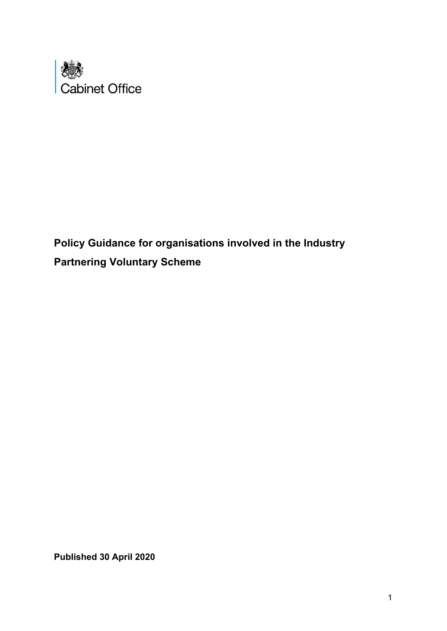

**Policy Guidance for organisations involved in the Industry Partnering Voluntary Scheme**

**Published 30 April 2020**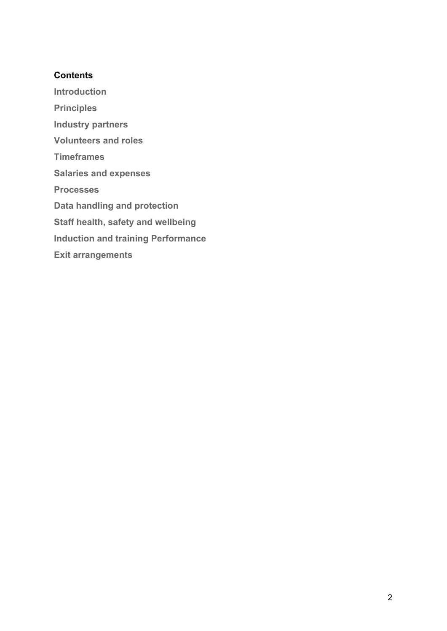## **Contents**

**Introduction**

**Principles Industry partners Volunteers and roles Timeframes Salaries and expenses Processes Data handling and protection Staff health, safety and wellbeing Induction and training Performance Exit arrangements**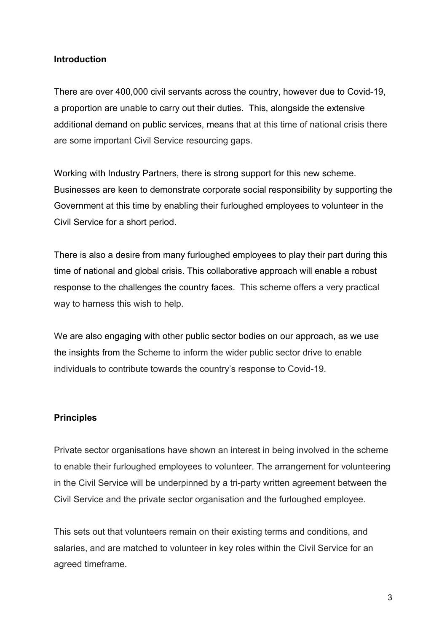#### **Introduction**

There are over 400,000 civil servants across the country, however due to Covid-19, a proportion are unable to carry out their duties. This, alongside the extensive additional demand on public services, means that at this time of national crisis there are some important Civil Service resourcing gaps.

Working with Industry Partners, there is strong support for this new scheme. Businesses are keen to demonstrate corporate social responsibility by supporting the Government at this time by enabling their furloughed employees to volunteer in the Civil Service for a short period.

There is also a desire from many furloughed employees to play their part during this time of national and global crisis. This collaborative approach will enable a robust response to the challenges the country faces. This scheme offers a very practical way to harness this wish to help.

We are also engaging with other public sector bodies on our approach, as we use the insights from the Scheme to inform the wider public sector drive to enable individuals to contribute towards the country's response to Covid-19.

#### **Principles**

Private sector organisations have shown an interest in being involved in the scheme to enable their furloughed employees to volunteer. The arrangement for volunteering in the Civil Service will be underpinned by a tri-party written agreement between the Civil Service and the private sector organisation and the furloughed employee.

This sets out that volunteers remain on their existing terms and conditions, and salaries, and are matched to volunteer in key roles within the Civil Service for an agreed timeframe.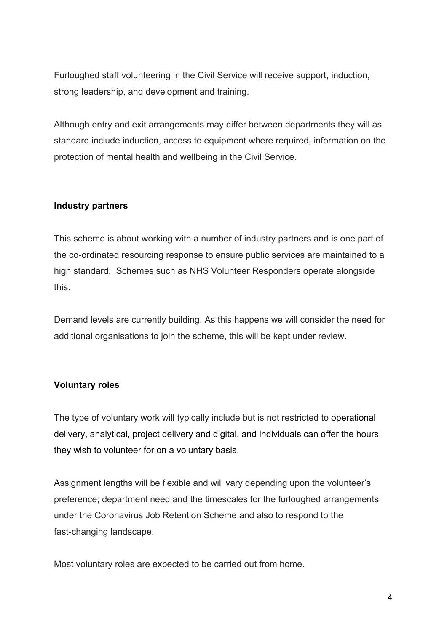Furloughed staff volunteering in the Civil Service will receive support, induction, strong leadership, and development and training.

Although entry and exit arrangements may differ between departments they will as standard include induction, access to equipment where required, information on the protection of mental health and wellbeing in the Civil Service.

#### **Industry partners**

This scheme is about working with a number of industry partners and is one part of the co-ordinated resourcing response to ensure public services are maintained to a high standard. Schemes such as NHS Volunteer Responders operate alongside this.

Demand levels are currently building. As this happens we will consider the need for additional organisations to join the scheme, this will be kept under review.

#### **Voluntary roles**

The type of voluntary work will typically include but is not restricted to operational delivery, analytical, project delivery and digital, and individuals can offer the hours they wish to volunteer for on a voluntary basis.

Assignment lengths will be flexible and will vary depending upon the volunteer's preference; department need and the timescales for the furloughed arrangements under the Coronavirus Job Retention Scheme and also to respond to the fast-changing landscape.

Most voluntary roles are expected to be carried out from home.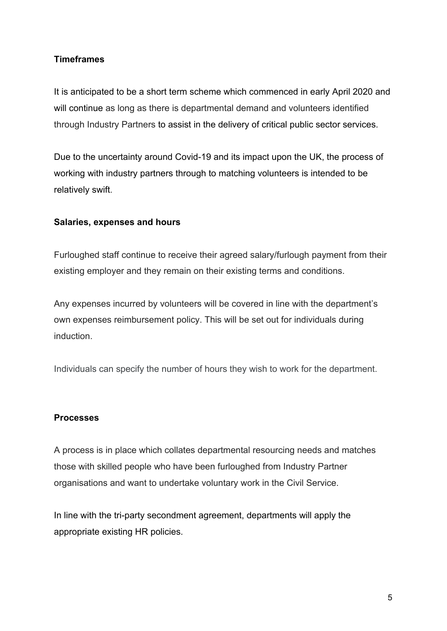## **Timeframes**

It is anticipated to be a short term scheme which commenced in early April 2020 and will continue as long as there is departmental demand and volunteers identified through Industry Partners to assist in the delivery of critical public sector services.

Due to the uncertainty around Covid-19 and its impact upon the UK, the process of working with industry partners through to matching volunteers is intended to be relatively swift.

### **Salaries, expenses and hours**

Furloughed staff continue to receive their agreed salary/furlough payment from their existing employer and they remain on their existing terms and conditions.

Any expenses incurred by volunteers will be covered in line with the department's own expenses reimbursement policy. This will be set out for individuals during induction.

Individuals can specify the number of hours they wish to work for the department.

#### **Processes**

A process is in place which collates departmental resourcing needs and matches those with skilled people who have been furloughed from Industry Partner organisations and want to undertake voluntary work in the Civil Service.

In line with the tri-party secondment agreement, departments will apply the appropriate existing HR policies.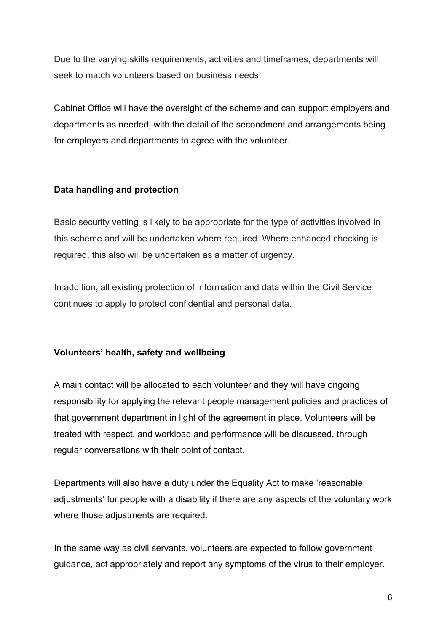Due to the varying skills requirements, activities and timeframes, departments will seek to match volunteers based on business needs.

Cabinet Office will have the oversight of the scheme and can support employers and departments as needed, with the detail of the secondment and arrangements being for employers and departments to agree with the volunteer.

### **Data handling and protection**

Basic security vetting is likely to be appropriate for the type of activities involved in this scheme and will be undertaken where required. Where enhanced checking is required, this also will be undertaken as a matter of urgency.

In addition, all existing protection of information and data within the Civil Service continues to apply to protect confidential and personal data.

#### **Volunteers' health, safety and wellbeing**

A main contact will be allocated to each volunteer and they will have ongoing responsibility for applying the relevant people management policies and practices of that government department in light of the agreement in place. Volunteers will be treated with respect, and workload and performance will be discussed, through regular conversations with their point of contact.

Departments will also have a duty under the Equality Act to make 'reasonable adjustments' for people with a disability if there are any aspects of the voluntary work where those adjustments are required.

In the same way as civil servants, volunteers are expected to follow government guidance, act appropriately and report any symptoms of the virus to their employer.